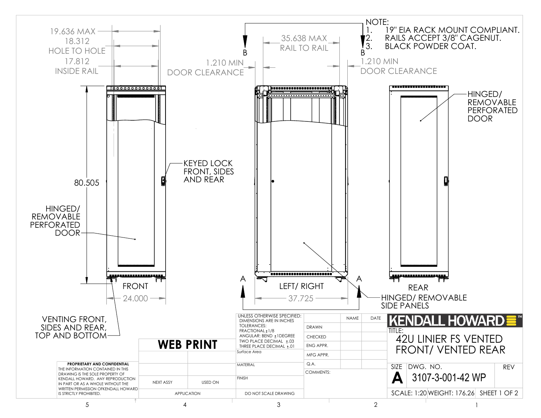